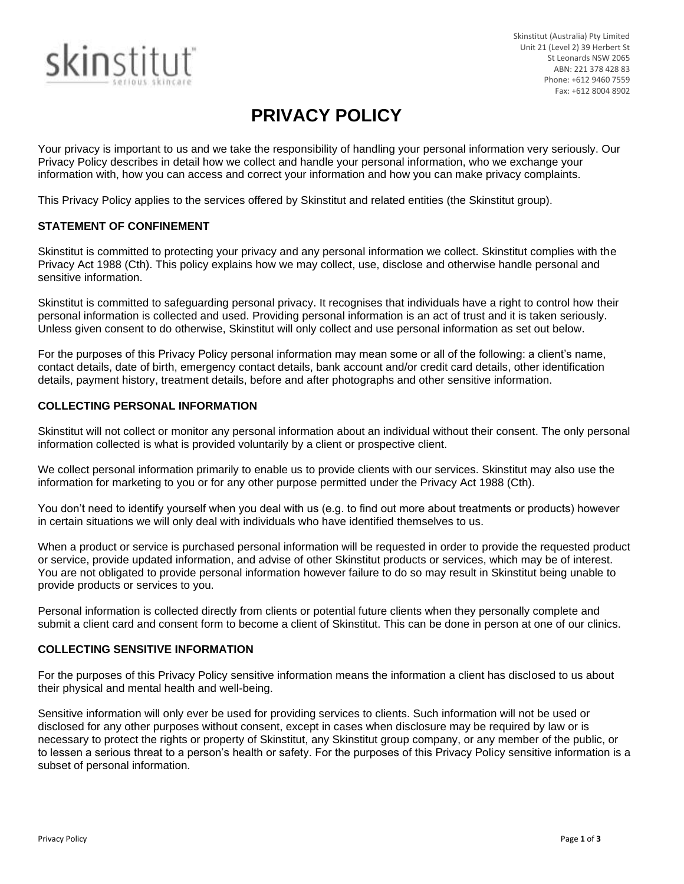

Skinstitut (Australia) Pty Limited Unit 21 (Level 2) 39 Herbert St St Leonards NSW 2065 ABN: 221 378 428 83 Phone: +612 9460 7559 Fax: +612 8004 8902

# **PRIVACY POLICY**

Your privacy is important to us and we take the responsibility of handling your personal information very seriously. Our Privacy Policy describes in detail how we collect and handle your personal information, who we exchange your information with, how you can access and correct your information and how you can make privacy complaints.

This Privacy Policy applies to the services offered by Skinstitut and related entities (the Skinstitut group).

# **STATEMENT OF CONFINEMENT**

Skinstitut is committed to protecting your privacy and any personal information we collect. Skinstitut complies with the Privacy Act 1988 (Cth). This policy explains how we may collect, use, disclose and otherwise handle personal and sensitive information.

Skinstitut is committed to safeguarding personal privacy. It recognises that individuals have a right to control how their personal information is collected and used. Providing personal information is an act of trust and it is taken seriously. Unless given consent to do otherwise, Skinstitut will only collect and use personal information as set out below.

For the purposes of this Privacy Policy personal information may mean some or all of the following: a client's name, contact details, date of birth, emergency contact details, bank account and/or credit card details, other identification details, payment history, treatment details, before and after photographs and other sensitive information.

# **COLLECTING PERSONAL INFORMATION**

Skinstitut will not collect or monitor any personal information about an individual without their consent. The only personal information collected is what is provided voluntarily by a client or prospective client.

We collect personal information primarily to enable us to provide clients with our services. Skinstitut may also use the information for marketing to you or for any other purpose permitted under the Privacy Act 1988 (Cth).

You don't need to identify yourself when you deal with us (e.g. to find out more about treatments or products) however in certain situations we will only deal with individuals who have identified themselves to us.

When a product or service is purchased personal information will be requested in order to provide the requested product or service, provide updated information, and advise of other Skinstitut products or services, which may be of interest. You are not obligated to provide personal information however failure to do so may result in Skinstitut being unable to provide products or services to you.

Personal information is collected directly from clients or potential future clients when they personally complete and submit a client card and consent form to become a client of Skinstitut. This can be done in person at one of our clinics.

## **COLLECTING SENSITIVE INFORMATION**

For the purposes of this Privacy Policy sensitive information means the information a client has disclosed to us about their physical and mental health and well-being.

Sensitive information will only ever be used for providing services to clients. Such information will not be used or disclosed for any other purposes without consent, except in cases when disclosure may be required by law or is necessary to protect the rights or property of Skinstitut, any Skinstitut group company, or any member of the public, or to lessen a serious threat to a person's health or safety. For the purposes of this Privacy Policy sensitive information is a subset of personal information.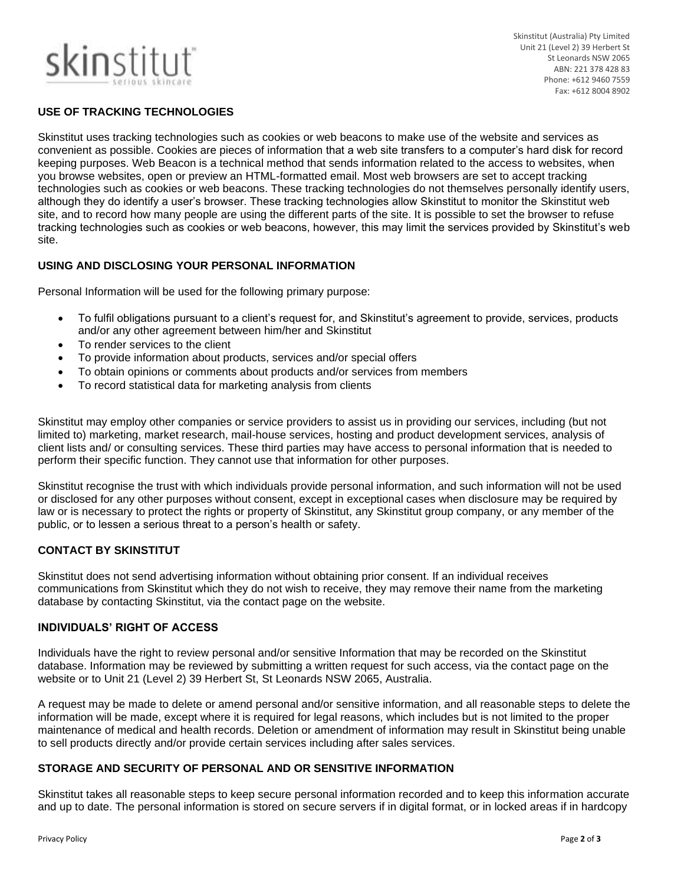# skinstitut

Skinstitut (Australia) Pty Limited Unit 21 (Level 2) 39 Herbert St St Leonards NSW 2065 ABN: 221 378 428 83 Phone: +612 9460 7559 Fax: +612 8004 8902

# **USE OF TRACKING TECHNOLOGIES**

Skinstitut uses tracking technologies such as cookies or web beacons to make use of the website and services as convenient as possible. Cookies are pieces of information that a web site transfers to a computer's hard disk for record keeping purposes. Web Beacon is a technical method that sends information related to the access to websites, when you browse websites, open or preview an HTML-formatted email. Most web browsers are set to accept tracking technologies such as cookies or web beacons. These tracking technologies do not themselves personally identify users, although they do identify a user's browser. These tracking technologies allow Skinstitut to monitor the Skinstitut web site, and to record how many people are using the different parts of the site. It is possible to set the browser to refuse tracking technologies such as cookies or web beacons, however, this may limit the services provided by Skinstitut's web site.

# **USING AND DISCLOSING YOUR PERSONAL INFORMATION**

Personal Information will be used for the following primary purpose:

- To fulfil obligations pursuant to a client's request for, and Skinstitut's agreement to provide, services, products and/or any other agreement between him/her and Skinstitut
- To render services to the client
- To provide information about products, services and/or special offers
- To obtain opinions or comments about products and/or services from members
- To record statistical data for marketing analysis from clients

Skinstitut may employ other companies or service providers to assist us in providing our services, including (but not limited to) marketing, market research, mail-house services, hosting and product development services, analysis of client lists and/ or consulting services. These third parties may have access to personal information that is needed to perform their specific function. They cannot use that information for other purposes.

Skinstitut recognise the trust with which individuals provide personal information, and such information will not be used or disclosed for any other purposes without consent, except in exceptional cases when disclosure may be required by law or is necessary to protect the rights or property of Skinstitut, any Skinstitut group company, or any member of the public, or to lessen a serious threat to a person's health or safety.

## **CONTACT BY SKINSTITUT**

Skinstitut does not send advertising information without obtaining prior consent. If an individual receives communications from Skinstitut which they do not wish to receive, they may remove their name from the marketing database by contacting Skinstitut, via the contact page on the website.

## **INDIVIDUALS' RIGHT OF ACCESS**

Individuals have the right to review personal and/or sensitive Information that may be recorded on the Skinstitut database. Information may be reviewed by submitting a written request for such access, via the contact page on the website or to Unit 21 (Level 2) 39 Herbert St, St Leonards NSW 2065, Australia.

A request may be made to delete or amend personal and/or sensitive information, and all reasonable steps to delete the information will be made, except where it is required for legal reasons, which includes but is not limited to the proper maintenance of medical and health records. Deletion or amendment of information may result in Skinstitut being unable to sell products directly and/or provide certain services including after sales services.

# **STORAGE AND SECURITY OF PERSONAL AND OR SENSITIVE INFORMATION**

Skinstitut takes all reasonable steps to keep secure personal information recorded and to keep this information accurate and up to date. The personal information is stored on secure servers if in digital format, or in locked areas if in hardcopy